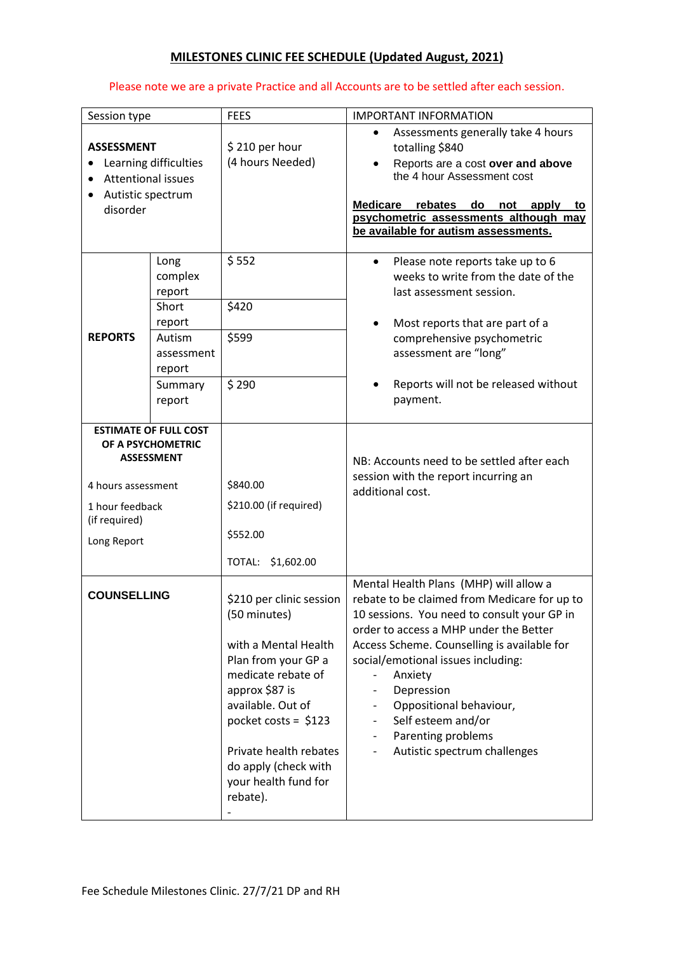## **MILESTONES CLINIC FEE SCHEDULE (Updated August, 2021)**

## Please note we are a private Practice and all Accounts are to be settled after each session.

| Session type                                                                                                                                    |                                                                                                     | <b>FEES</b>                                                                                                                                                                                                                                                         | <b>IMPORTANT INFORMATION</b>                                                                                                                                                                                                                                                                                                                                                                         |
|-------------------------------------------------------------------------------------------------------------------------------------------------|-----------------------------------------------------------------------------------------------------|---------------------------------------------------------------------------------------------------------------------------------------------------------------------------------------------------------------------------------------------------------------------|------------------------------------------------------------------------------------------------------------------------------------------------------------------------------------------------------------------------------------------------------------------------------------------------------------------------------------------------------------------------------------------------------|
| <b>ASSESSMENT</b><br>Learning difficulties<br><b>Attentional issues</b><br>Autistic spectrum<br>disorder                                        |                                                                                                     | \$210 per hour<br>(4 hours Needed)                                                                                                                                                                                                                                  | Assessments generally take 4 hours<br>$\bullet$<br>totalling \$840<br>Reports are a cost over and above<br>the 4 hour Assessment cost<br><b>Medicare</b><br>rebates<br>do<br>not apply to<br>psychometric assessments although may<br>be available for autism assessments.                                                                                                                           |
| <b>REPORTS</b>                                                                                                                                  | Long<br>complex<br>report<br>Short<br>report<br>Autism<br>assessment<br>report<br>Summary<br>report | \$552<br>\$420<br>\$599<br>\$290                                                                                                                                                                                                                                    | Please note reports take up to 6<br>$\bullet$<br>weeks to write from the date of the<br>last assessment session.<br>Most reports that are part of a<br>٠<br>comprehensive psychometric<br>assessment are "long"<br>Reports will not be released without<br>payment.                                                                                                                                  |
| <b>ESTIMATE OF FULL COST</b><br>OF A PSYCHOMETRIC<br><b>ASSESSMENT</b><br>4 hours assessment<br>1 hour feedback<br>(if required)<br>Long Report |                                                                                                     | \$840.00<br>\$210.00 (if required)<br>\$552.00<br>\$1,602.00<br>TOTAL:                                                                                                                                                                                              | NB: Accounts need to be settled after each<br>session with the report incurring an<br>additional cost.                                                                                                                                                                                                                                                                                               |
| <b>COUNSELLING</b>                                                                                                                              |                                                                                                     | \$210 per clinic session<br>(50 minutes)<br>with a Mental Health<br>Plan from your GP a<br>medicate rebate of<br>approx \$87 is<br>available. Out of<br>pocket costs = $$123$<br>Private health rebates<br>do apply (check with<br>your health fund for<br>rebate). | Mental Health Plans (MHP) will allow a<br>rebate to be claimed from Medicare for up to<br>10 sessions. You need to consult your GP in<br>order to access a MHP under the Better<br>Access Scheme. Counselling is available for<br>social/emotional issues including:<br>Anxiety<br>Depression<br>Oppositional behaviour,<br>Self esteem and/or<br>Parenting problems<br>Autistic spectrum challenges |